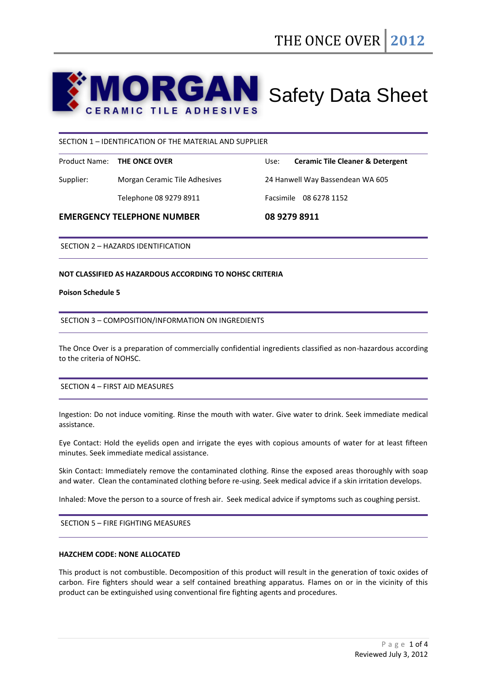# **ORGAN** Safety Data Sheet **ERAMIC TILE ADHESIVES**

## SECTION 1 – IDENTIFICATION OF THE MATERIAL AND SUPPLIER

|           | Product Name: <b>THE ONCE OVER</b> | Use: | <b>Ceramic Tile Cleaner &amp; Detergent</b> |
|-----------|------------------------------------|------|---------------------------------------------|
| Supplier: | Morgan Ceramic Tile Adhesives      |      | 24 Hanwell Way Bassendean WA 605            |
|           | Telephone 08 9279 8911             |      | Facsimile 08 6278 1152                      |
|           |                                    |      |                                             |

## **EMERGENCY TELEPHONE NUMBER 08 9279 8911**

SECTION 2 – HAZARDS IDENTIFICATION

## **NOT CLASSIFIED AS HAZARDOUS ACCORDING TO NOHSC CRITERIA**

#### **Poison Schedule 5**

## SECTION 3 – COMPOSITION/INFORMATION ON INGREDIENTS

The Once Over is a preparation of commercially confidential ingredients classified as non-hazardous according to the criteria of NOHSC.

## SECTION 4 – FIRST AID MEASURES

Ingestion: Do not induce vomiting. Rinse the mouth with water. Give water to drink. Seek immediate medical assistance.

Eye Contact: Hold the eyelids open and irrigate the eyes with copious amounts of water for at least fifteen minutes. Seek immediate medical assistance.

Skin Contact: Immediately remove the contaminated clothing. Rinse the exposed areas thoroughly with soap and water. Clean the contaminated clothing before re-using. Seek medical advice if a skin irritation develops.

Inhaled: Move the person to a source of fresh air. Seek medical advice if symptoms such as coughing persist.

SECTION 5 – FIRE FIGHTING MEASURES

#### **HAZCHEM CODE: NONE ALLOCATED**

This product is not combustible. Decomposition of this product will result in the generation of toxic oxides of carbon. Fire fighters should wear a self contained breathing apparatus. Flames on or in the vicinity of this product can be extinguished using conventional fire fighting agents and procedures.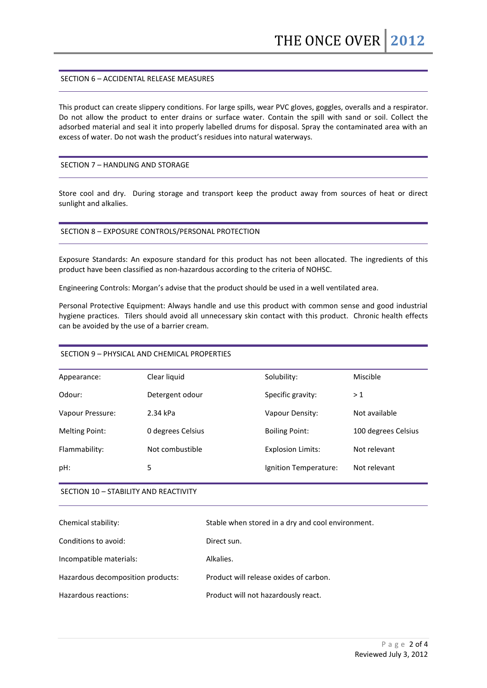## SECTION 6 – ACCIDENTAL RELEASE MEASURES

This product can create slippery conditions. For large spills, wear PVC gloves, goggles, overalls and a respirator. Do not allow the product to enter drains or surface water. Contain the spill with sand or soil. Collect the adsorbed material and seal it into properly labelled drums for disposal. Spray the contaminated area with an excess of water. Do not wash the product's residues into natural waterways.

## SECTION 7 – HANDLING AND STORAGE

Store cool and dry. During storage and transport keep the product away from sources of heat or direct sunlight and alkalies.

## SECTION 8 – EXPOSURE CONTROLS/PERSONAL PROTECTION

Exposure Standards: An exposure standard for this product has not been allocated. The ingredients of this product have been classified as non-hazardous according to the criteria of NOHSC.

Engineering Controls: Morgan's advise that the product should be used in a well ventilated area.

Personal Protective Equipment: Always handle and use this product with common sense and good industrial hygiene practices. Tilers should avoid all unnecessary skin contact with this product. Chronic health effects can be avoided by the use of a barrier cream.

# SECTION 9 – PHYSICAL AND CHEMICAL PROPERTIES

| Appearance:           | Clear liquid      | Solubility:              | Miscible            |
|-----------------------|-------------------|--------------------------|---------------------|
| Odour:                | Detergent odour   | Specific gravity:        | >1                  |
| Vapour Pressure:      | 2.34 kPa          | Vapour Density:          | Not available       |
| <b>Melting Point:</b> | 0 degrees Celsius | <b>Boiling Point:</b>    | 100 degrees Celsius |
| Flammability:         | Not combustible   | <b>Explosion Limits:</b> | Not relevant        |
| pH:                   | 5                 | Ignition Temperature:    | Not relevant        |
|                       |                   |                          |                     |

## SECTION 10 – STABILITY AND REACTIVITY

| Chemical stability:               | Stable when stored in a dry and cool environment. |
|-----------------------------------|---------------------------------------------------|
| Conditions to avoid:              | Direct sun.                                       |
| Incompatible materials:           | Alkalies.                                         |
| Hazardous decomposition products: | Product will release oxides of carbon.            |
| Hazardous reactions:              | Product will not hazardously react.               |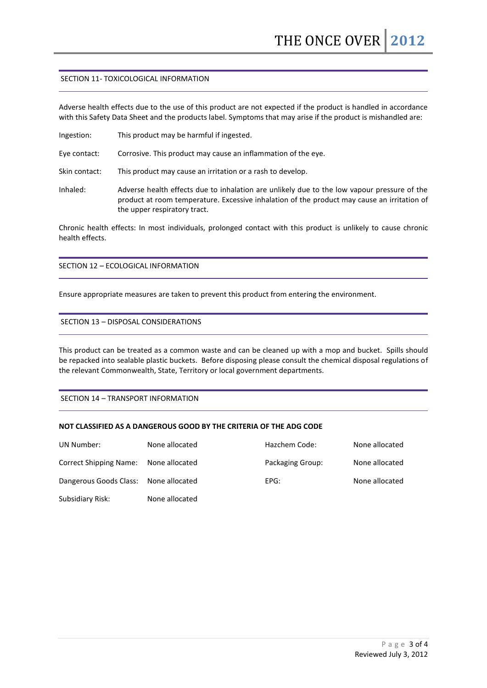# SECTION 11- TOXICOLOGICAL INFORMATION

Adverse health effects due to the use of this product are not expected if the product is handled in accordance with this Safety Data Sheet and the products label. Symptoms that may arise if the product is mishandled are:

Ingestion: This product may be harmful if ingested.

Eye contact: Corrosive. This product may cause an inflammation of the eye.

Skin contact: This product may cause an irritation or a rash to develop.

Inhaled: Adverse health effects due to inhalation are unlikely due to the low vapour pressure of the product at room temperature. Excessive inhalation of the product may cause an irritation of the upper respiratory tract.

Chronic health effects: In most individuals, prolonged contact with this product is unlikely to cause chronic health effects.

SECTION 12 – ECOLOGICAL INFORMATION

Ensure appropriate measures are taken to prevent this product from entering the environment.

## SECTION 13 – DISPOSAL CONSIDERATIONS

This product can be treated as a common waste and can be cleaned up with a mop and bucket. Spills should be repacked into sealable plastic buckets. Before disposing please consult the chemical disposal regulations of the relevant Commonwealth, State, Territory or local government departments.

SECTION 14 – TRANSPORT INFORMATION

## **NOT CLASSIFIED AS A DANGEROUS GOOD BY THE CRITERIA OF THE ADG CODE**

| UN Number:                    | None allocated | Hazchem Code:    | None allocated |
|-------------------------------|----------------|------------------|----------------|
| <b>Correct Shipping Name:</b> | None allocated | Packaging Group: | None allocated |
| Dangerous Goods Class:        | None allocated | EPG:             | None allocated |
| Subsidiary Risk:              | None allocated |                  |                |